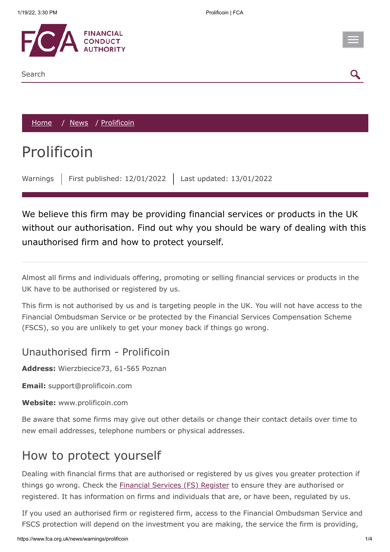

[Home](https://www.fca.org.uk/) / [News](https://www.fca.org.uk/news) / Prolificoin

## Prolificoin

Warnings | First published: 12/01/2022 | Last updated: 13/01/2022

We believe this firm may be providing financial services or products in the UK without our authorisation. Find out why you should be wary of dealing with this unauthorised firm and how to protect yourself.

Almost all firms and individuals offering, promoting or selling financial services or products in the UK have to be authorised or registered by us.

This firm is not authorised by us and is targeting people in the UK. You will not have access to the Financial Ombudsman Service or be protected by the Financial Services Compensation Scheme (FSCS), so you are unlikely to get your money back if things go wrong.

## Unauthorised firm - Prolificoin

**Address:** Wierzbiecice73, 61-565 Poznan

**Email:** support@prolificoin.com

**Website:** www.prolificoin.com

Be aware that some firms may give out other details or change their contact details over time to new email addresses, telephone numbers or physical addresses.

## How to protect yourself

Dealing with financial firms that are authorised or registered by us gives you greater protection if things go wrong. Check the **[Financial Services \(FS\) Register](https://register.fca.org.uk/)** to ensure they are authorised or registered. It has information on firms and individuals that are, or have been, regulated by us.

If you used an authorised firm or registered firm, access to the Financial Ombudsman Service and FSCS protection will depend on the investment you are making, the service the firm is providing,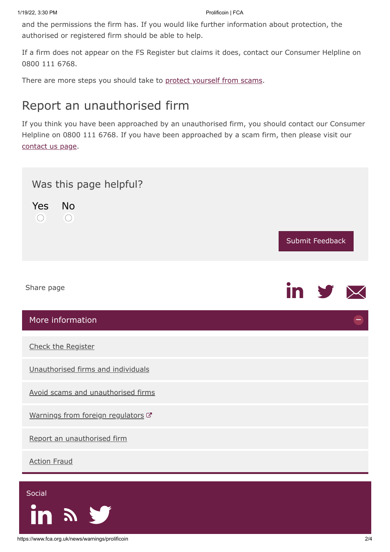and the permissions the firm has. If you would like further information about protection, the authorised or registered firm should be able to help.

If a firm does not appear on the FS Register but claims it does, contact our Consumer Helpline on 0800 111 6768.

There are more steps you should take to [protect yourself from scams](https://www.fca.org.uk/consumers/avoid-scams-unauthorised-firms).

## Report an unauthorised firm

If you think you have been approached by an unauthorised firm, you should contact our Consumer Helpline on 0800 111 6768. If you have been approached by a scam firm, then please visit our [contact us page.](https://www.fca.org.uk/contact)

<span id="page-1-0"></span>

| Was this page helpful?<br>Yes No<br>$\overline{\phantom{0}}$<br>$\bigcirc$ | Submit Feedback         |
|----------------------------------------------------------------------------|-------------------------|
| Share page                                                                 | in $\mathcal{Y} \times$ |
| More information                                                           |                         |
| Check the Register                                                         |                         |
| Unauthorised firms and individuals                                         |                         |
| Avoid scams and unauthorised firms                                         |                         |
| Warnings from foreign regulators C                                         |                         |
| Report an unauthorised firm                                                |                         |
| <b>Action Fraud</b>                                                        |                         |
| Social                                                                     |                         |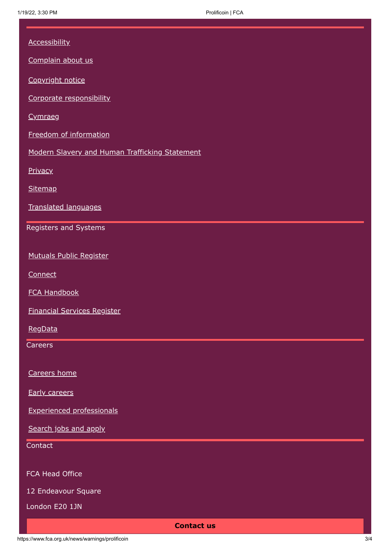| <b>Accessibility</b><br>Complain about us<br>Copyright notice<br>Corporate responsibility<br>Cymraeg<br>Freedom of information<br>Modern Slavery and Human Trafficking Statement<br>Privacy<br>Sitemap<br>Translated languages<br>Registers and Systems<br><b>Mutuals Public Register</b><br>Connect<br><b>FCA Handbook</b><br><b>Financial Services Register</b><br>RegData<br>Careers<br>Careers home<br><b>Early careers</b><br><b>Experienced professionals</b> |
|---------------------------------------------------------------------------------------------------------------------------------------------------------------------------------------------------------------------------------------------------------------------------------------------------------------------------------------------------------------------------------------------------------------------------------------------------------------------|
|                                                                                                                                                                                                                                                                                                                                                                                                                                                                     |
|                                                                                                                                                                                                                                                                                                                                                                                                                                                                     |
|                                                                                                                                                                                                                                                                                                                                                                                                                                                                     |
|                                                                                                                                                                                                                                                                                                                                                                                                                                                                     |
|                                                                                                                                                                                                                                                                                                                                                                                                                                                                     |
|                                                                                                                                                                                                                                                                                                                                                                                                                                                                     |
|                                                                                                                                                                                                                                                                                                                                                                                                                                                                     |
|                                                                                                                                                                                                                                                                                                                                                                                                                                                                     |
|                                                                                                                                                                                                                                                                                                                                                                                                                                                                     |
|                                                                                                                                                                                                                                                                                                                                                                                                                                                                     |
|                                                                                                                                                                                                                                                                                                                                                                                                                                                                     |
|                                                                                                                                                                                                                                                                                                                                                                                                                                                                     |
|                                                                                                                                                                                                                                                                                                                                                                                                                                                                     |
|                                                                                                                                                                                                                                                                                                                                                                                                                                                                     |
|                                                                                                                                                                                                                                                                                                                                                                                                                                                                     |
|                                                                                                                                                                                                                                                                                                                                                                                                                                                                     |
|                                                                                                                                                                                                                                                                                                                                                                                                                                                                     |
|                                                                                                                                                                                                                                                                                                                                                                                                                                                                     |
|                                                                                                                                                                                                                                                                                                                                                                                                                                                                     |
|                                                                                                                                                                                                                                                                                                                                                                                                                                                                     |
|                                                                                                                                                                                                                                                                                                                                                                                                                                                                     |
| Search jobs and apply                                                                                                                                                                                                                                                                                                                                                                                                                                               |
| Contact                                                                                                                                                                                                                                                                                                                                                                                                                                                             |
|                                                                                                                                                                                                                                                                                                                                                                                                                                                                     |
| FCA Head Office                                                                                                                                                                                                                                                                                                                                                                                                                                                     |
| 12 Endeavour Square<br>London E20 1JN                                                                                                                                                                                                                                                                                                                                                                                                                               |
| <b>Contact us</b>                                                                                                                                                                                                                                                                                                                                                                                                                                                   |